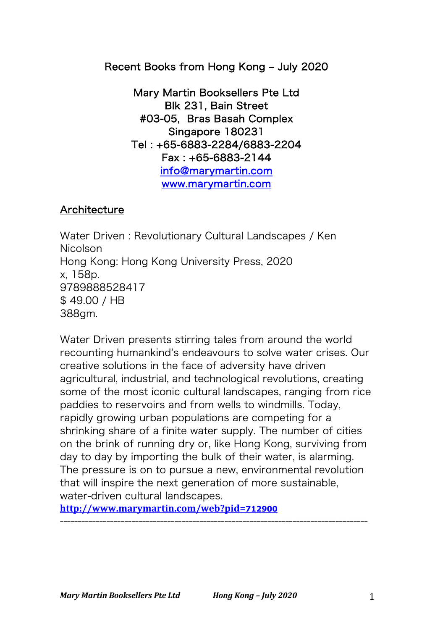Recent Books from Hong Kong - July 2020

Mary Martin Booksellers Pte Ltd Blk 231, Bain Street #03-05, Bras Basah Complex Singapore 180231 Tel : +65-6883-2284/6883-2204 Fax : +65-6883-2144 info@marymartin.com www.marymartin.com

## **Architecture**

Water Driven : Revolutionary Cultural Landscapes / Ken Nicolson Hong Kong: Hong Kong University Press, 2020 x, 158p. 9789888528417 \$ 49.00 / HB 388gm.

Water Driven presents stirring tales from around the world recounting humankind's endeavours to solve water crises. Our creative solutions in the face of adversity have driven agricultural, industrial, and technological revolutions, creating some of the most iconic cultural landscapes, ranging from rice paddies to reservoirs and from wells to windmills. Today, rapidly growing urban populations are competing for a shrinking share of a finite water supply. The number of cities on the brink of running dry or, like Hong Kong, surviving from day to day by importing the bulk of their water, is alarming. The pressure is on to pursue a new, environmental revolution that will inspire the next generation of more sustainable, water-driven cultural landscapes.

--------------------------------------------------------------------------------------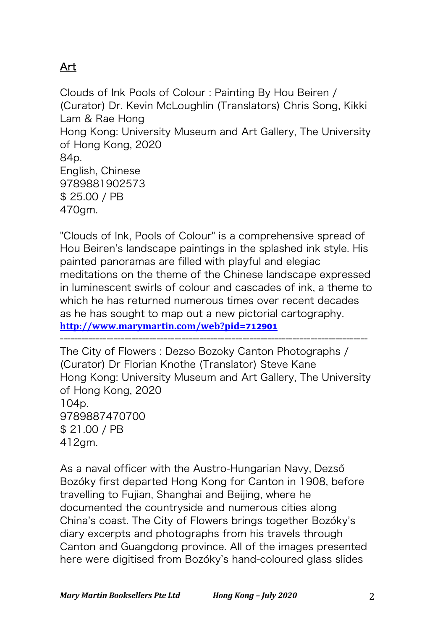# Art

Clouds of Ink Pools of Colour : Painting By Hou Beiren / (Curator) Dr. Kevin McLoughlin (Translators) Chris Song, Kikki Lam & Rae Hong Hong Kong: University Museum and Art Gallery, The University of Hong Kong, 2020 84p. English, Chinese 9789881902573 \$ 25.00 / PB 470gm.

"Clouds of Ink, Pools of Colour" is a comprehensive spread of Hou Beiren's landscape paintings in the splashed ink style. His painted panoramas are filled with playful and elegiac meditations on the theme of the Chinese landscape expressed in luminescent swirls of colour and cascades of ink, a theme to which he has returned numerous times over recent decades as he has sought to map out a new pictorial cartography. **http://www.marymartin.com/web?pid=712901**

-------------------------------------------------------------------------------------- The City of Flowers : Dezso Bozoky Canton Photographs / (Curator) Dr Florian Knothe (Translator) Steve Kane Hong Kong: University Museum and Art Gallery, The University of Hong Kong, 2020 104p. 9789887470700 \$ 21.00 / PB 412gm.

As a naval officer with the Austro-Hungarian Navy, Dezső Bozóky first departed Hong Kong for Canton in 1908, before travelling to Fujian, Shanghai and Beijing, where he documented the countryside and numerous cities along China's coast. The City of Flowers brings together Bozóky's diary excerpts and photographs from his travels through Canton and Guangdong province. All of the images presented here were digitised from Bozóky's hand-coloured glass slides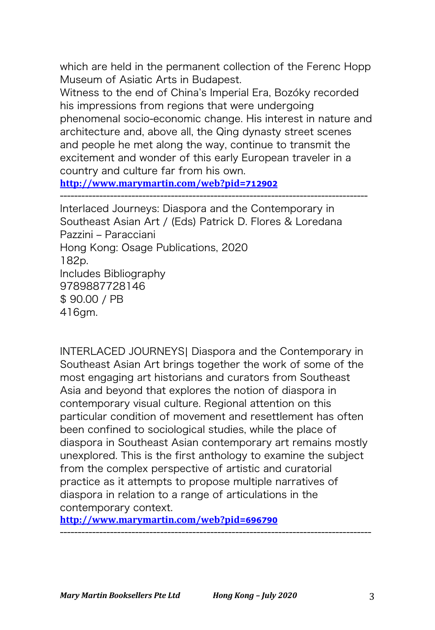which are held in the permanent collection of the Ferenc Hopp Museum of Asiatic Arts in Budapest.

Witness to the end of China's Imperial Era, Bozóky recorded his impressions from regions that were undergoing phenomenal socio-economic change. His interest in nature and architecture and, above all, the Qing dynasty street scenes and people he met along the way, continue to transmit the excitement and wonder of this early European traveler in a country and culture far from his own.

--------------------------------------------------------------------------------------

**http://www.marymartin.com/web?pid=712902**

Interlaced Journeys: Diaspora and the Contemporary in Southeast Asian Art / (Eds) Patrick D. Flores & Loredana Pazzini ‒ Paracciani Hong Kong: Osage Publications, 2020 182p. Includes Bibliography 9789887728146 \$ 90.00 / PB 416gm.

INTERLACED JOURNEYS| Diaspora and the Contemporary in Southeast Asian Art brings together the work of some of the most engaging art historians and curators from Southeast Asia and beyond that explores the notion of diaspora in contemporary visual culture. Regional attention on this particular condition of movement and resettlement has often been confined to sociological studies, while the place of diaspora in Southeast Asian contemporary art remains mostly unexplored. This is the first anthology to examine the subject from the complex perspective of artistic and curatorial practice as it attempts to propose multiple narratives of diaspora in relation to a range of articulations in the contemporary context.

---------------------------------------------------------------------------------------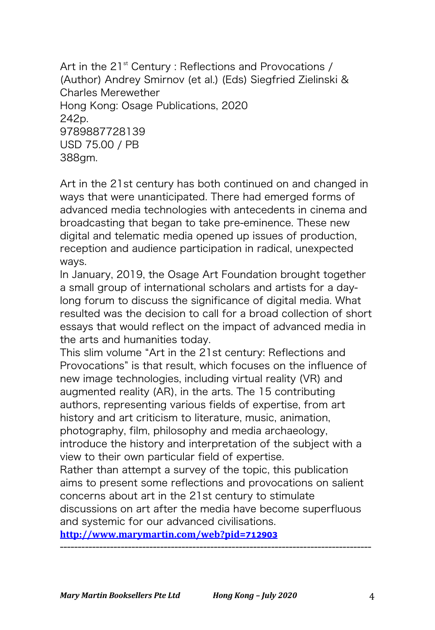Art in the  $21^{st}$  Century : Reflections and Provocations / (Author) Andrey Smirnov (et al.) (Eds) Siegfried Zielinski & Charles Merewether Hong Kong: Osage Publications, 2020 242p. 9789887728139 USD 75.00 / PB 388gm.

Art in the 21st century has both continued on and changed in ways that were unanticipated. There had emerged forms of advanced media technologies with antecedents in cinema and broadcasting that began to take pre-eminence. These new digital and telematic media opened up issues of production, reception and audience participation in radical, unexpected ways.

In January, 2019, the Osage Art Foundation brought together a small group of international scholars and artists for a daylong forum to discuss the significance of digital media. What resulted was the decision to call for a broad collection of short essays that would reflect on the impact of advanced media in the arts and humanities today.

This slim volume "Art in the 21st century: Reflections and Provocations" is that result, which focuses on the influence of new image technologies, including virtual reality (VR) and augmented reality (AR), in the arts. The 15 contributing authors, representing various fields of expertise, from art history and art criticism to literature, music, animation, photography, film, philosophy and media archaeology, introduce the history and interpretation of the subject with a view to their own particular field of expertise. Rather than attempt a survey of the topic, this publication aims to present some reflections and provocations on salient concerns about art in the 21st century to stimulate

discussions on art after the media have become superfluous and systemic for our advanced civilisations.

---------------------------------------------------------------------------------------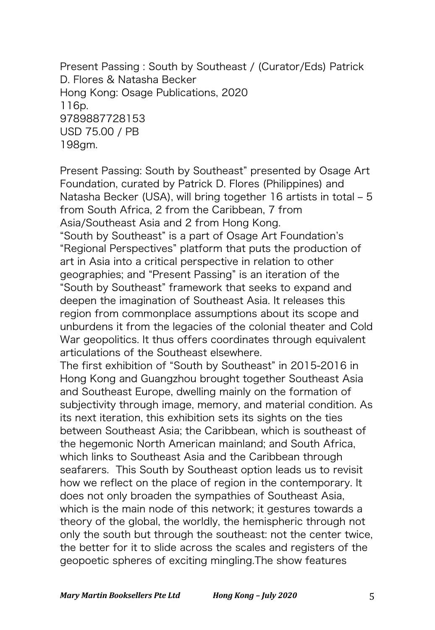Present Passing : South by Southeast / (Curator/Eds) Patrick D. Flores & Natasha Becker Hong Kong: Osage Publications, 2020 116p. 9789887728153 USD 75.00 / PB 198gm.

Present Passing: South by Southeast" presented by Osage Art Foundation, curated by Patrick D. Flores (Philippines) and Natasha Becker (USA), will bring together 16 artists in total - 5 from South Africa, 2 from the Caribbean, 7 from Asia/Southeast Asia and 2 from Hong Kong. "South by Southeast" is a part of Osage Art Foundation's "Regional Perspectives" platform that puts the production of art in Asia into a critical perspective in relation to other geographies; and "Present Passing" is an iteration of the "South by Southeast" framework that seeks to expand and deepen the imagination of Southeast Asia. It releases this region from commonplace assumptions about its scope and unburdens it from the legacies of the colonial theater and Cold War geopolitics. It thus offers coordinates through equivalent articulations of the Southeast elsewhere. The first exhibition of "South by Southeast" in 2015-2016 in Hong Kong and Guangzhou brought together Southeast Asia and Southeast Europe, dwelling mainly on the formation of subjectivity through image, memory, and material condition. As its next iteration, this exhibition sets its sights on the ties between Southeast Asia; the Caribbean, which is southeast of the hegemonic North American mainland; and South Africa, which links to Southeast Asia and the Caribbean through seafarers. This South by Southeast option leads us to revisit how we reflect on the place of region in the contemporary. It does not only broaden the sympathies of Southeast Asia, which is the main node of this network; it gestures towards a

theory of the global, the worldly, the hemispheric through not only the south but through the southeast: not the center twice, the better for it to slide across the scales and registers of the geopoetic spheres of exciting mingling.The show features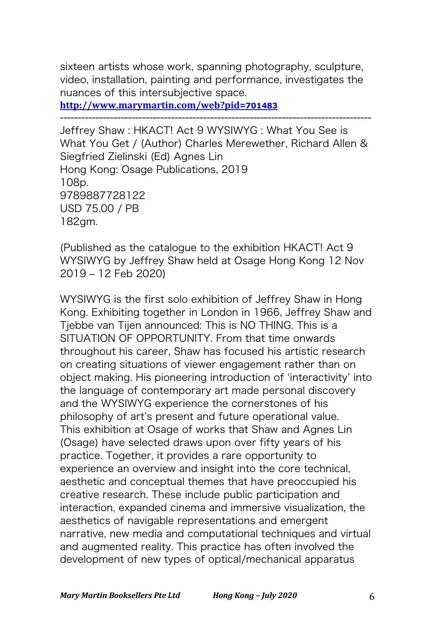sixteen artists whose work, spanning photography, sculpture, video, installation, painting and performance, investigates the nuances of this intersubjective space.

---------------------------------------------------------------------------------------

**http://www.marymartin.com/web?pid=701483**

Jeffrey Shaw : HKACT! Act 9 WYSIWYG : What You See is What You Get / (Author) Charles Merewether, Richard Allen & Siegfried Zielinski (Ed) Agnes Lin Hong Kong: Osage Publications, 2019 108p. 9789887728122 USD 75.00 / PB 182gm.

(Published as the catalogue to the exhibition HKACT! Act 9 WYSIWYG by Jeffrey Shaw held at Osage Hong Kong 12 Nov 2019 ‒ 12 Feb 2020)

WYSIWYG is the first solo exhibition of Jeffrey Shaw in Hong Kong. Exhibiting together in London in 1966, Jeffrey Shaw and Tjebbe van Tijen announced: This is NO THING. This is a SITUATION OF OPPORTUNITY. From that time onwards throughout his career, Shaw has focused his artistic research on creating situations of viewer engagement rather than on object making. His pioneering introduction of ʻinteractivity' into the language of contemporary art made personal discovery and the WYSIWYG experience the cornerstones of his philosophy of art's present and future operational value. This exhibition at Osage of works that Shaw and Agnes Lin (Osage) have selected draws upon over fifty years of his practice. Together, it provides a rare opportunity to experience an overview and insight into the core technical, aesthetic and conceptual themes that have preoccupied his creative research. These include public participation and interaction, expanded cinema and immersive visualization, the aesthetics of navigable representations and emergent narrative, new media and computational techniques and virtual and augmented reality. This practice has often involved the development of new types of optical/mechanical apparatus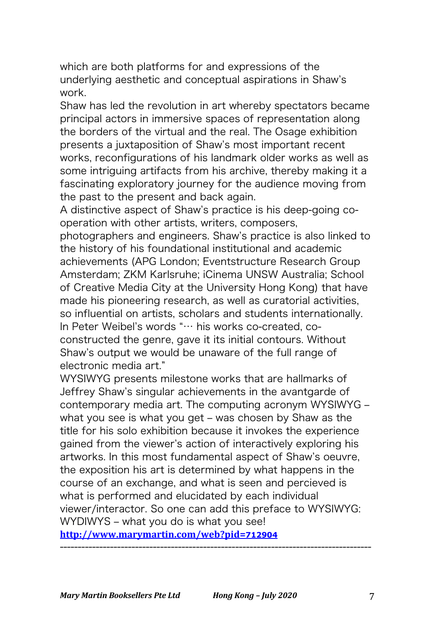which are both platforms for and expressions of the underlying aesthetic and conceptual aspirations in Shaw's work.

Shaw has led the revolution in art whereby spectators became principal actors in immersive spaces of representation along the borders of the virtual and the real. The Osage exhibition presents a juxtaposition of Shaw's most important recent works, reconfigurations of his landmark older works as well as some intriguing artifacts from his archive, thereby making it a fascinating exploratory journey for the audience moving from the past to the present and back again.

A distinctive aspect of Shaw's practice is his deep-going cooperation with other artists, writers, composers,

photographers and engineers. Shaw's practice is also linked to the history of his foundational institutional and academic achievements (APG London; Eventstructure Research Group Amsterdam; ZKM Karlsruhe; iCinema UNSW Australia; School of Creative Media City at the University Hong Kong) that have made his pioneering research, as well as curatorial activities, so influential on artists, scholars and students internationally. In Peter Weibel's words "… his works co-created, coconstructed the genre, gave it its initial contours. Without Shaw's output we would be unaware of the full range of electronic media art."

WYSIWYG presents milestone works that are hallmarks of Jeffrey Shaw's singular achievements in the avantgarde of contemporary media art. The computing acronym WYSIWYG what you see is what you get - was chosen by Shaw as the title for his solo exhibition because it invokes the experience gained from the viewer's action of interactively exploring his artworks. In this most fundamental aspect of Shaw's oeuvre, the exposition his art is determined by what happens in the course of an exchange, and what is seen and percieved is what is performed and elucidated by each individual viewer/interactor. So one can add this preface to WYSIWYG: WYDIWYS - what you do is what you see!

**http://www.marymartin.com/web?pid=712904** ---------------------------------------------------------------------------------------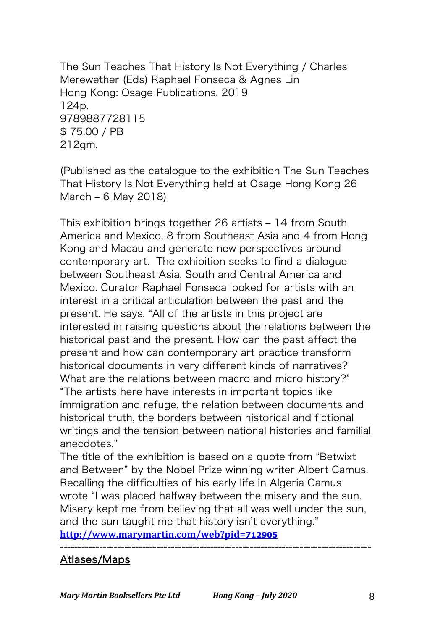The Sun Teaches That History Is Not Everything / Charles Merewether (Eds) Raphael Fonseca & Agnes Lin Hong Kong: Osage Publications, 2019 124p. 9789887728115 \$ 75.00 / PB 212gm.

(Published as the catalogue to the exhibition The Sun Teaches That History Is Not Everything held at Osage Hong Kong 26 March  $-6$  May 2018)

This exhibition brings together 26 artists – 14 from South America and Mexico, 8 from Southeast Asia and 4 from Hong Kong and Macau and generate new perspectives around contemporary art. The exhibition seeks to find a dialogue between Southeast Asia, South and Central America and Mexico. Curator Raphael Fonseca looked for artists with an interest in a critical articulation between the past and the present. He says, "All of the artists in this project are interested in raising questions about the relations between the historical past and the present. How can the past affect the present and how can contemporary art practice transform historical documents in very different kinds of narratives? What are the relations between macro and micro history?" "The artists here have interests in important topics like immigration and refuge, the relation between documents and historical truth, the borders between historical and fictional writings and the tension between national histories and familial anecdotes."

The title of the exhibition is based on a quote from "Betwixt and Between" by the Nobel Prize winning writer Albert Camus. Recalling the difficulties of his early life in Algeria Camus wrote "I was placed halfway between the misery and the sun. Misery kept me from believing that all was well under the sun, and the sun taught me that history isn't everything."

---------------------------------------------------------------------------------------

**http://www.marymartin.com/web?pid=712905**

## Atlases/Maps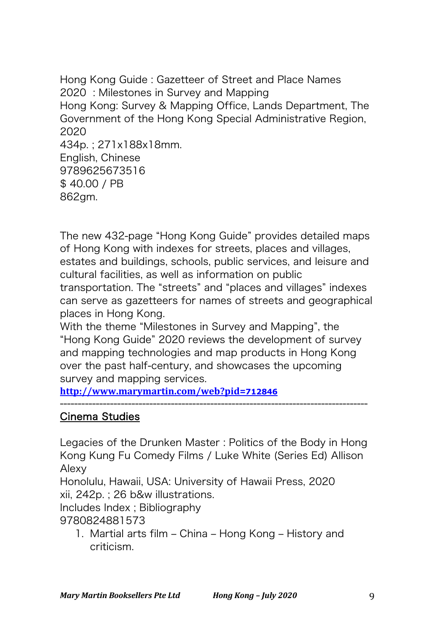Hong Kong Guide : Gazetteer of Street and Place Names 2020 : Milestones in Survey and Mapping Hong Kong: Survey & Mapping Office, Lands Department, The Government of the Hong Kong Special Administrative Region, 2020 434p. ; 271x188x18mm. English, Chinese 9789625673516 \$ 40.00 / PB 862gm.

The new 432-page "Hong Kong Guide" provides detailed maps of Hong Kong with indexes for streets, places and villages, estates and buildings, schools, public services, and leisure and cultural facilities, as well as information on public transportation. The "streets" and "places and villages" indexes

can serve as gazetteers for names of streets and geographical places in Hong Kong.

With the theme "Milestones in Survey and Mapping", the "Hong Kong Guide" 2020 reviews the development of survey and mapping technologies and map products in Hong Kong over the past half-century, and showcases the upcoming survey and mapping services.

**http://www.marymartin.com/web?pid=712846**

## Cinema Studies

Legacies of the Drunken Master : Politics of the Body in Hong Kong Kung Fu Comedy Films / Luke White (Series Ed) Allison Alexy

--------------------------------------------------------------------------------------

Honolulu, Hawaii, USA: University of Hawaii Press, 2020 xii, 242p. ; 26 b&w illustrations.

Includes Index ; Bibliography

9780824881573

1. Martial arts film – China – Hong Kong – History and criticism.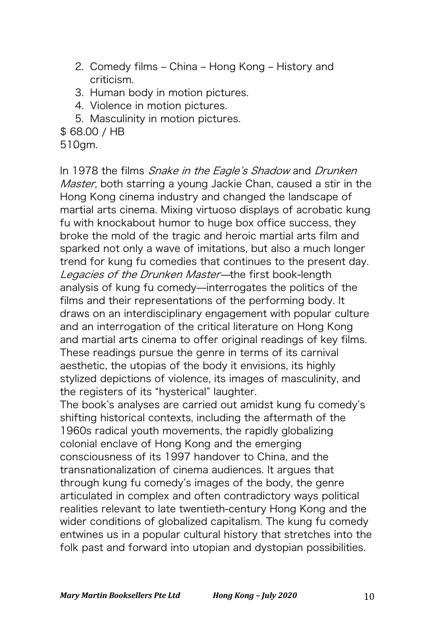- 2. Comedy films China Hong Kong History and criticism.
- 3. Human body in motion pictures.
- 4. Violence in motion pictures.
- 5. Masculinity in motion pictures.
- \$ 68.00 / HB
- 510gm.

In 1978 the films *Snake in the Eagle's Shadow* and *Drunken* Master, both starring a young Jackie Chan, caused a stir in the Hong Kong cinema industry and changed the landscape of martial arts cinema. Mixing virtuoso displays of acrobatic kung fu with knockabout humor to huge box office success, they broke the mold of the tragic and heroic martial arts film and sparked not only a wave of imitations, but also a much longer trend for kung fu comedies that continues to the present day. Legacies of the Drunken Master-the first book-length analysis of kung fu comedy—interrogates the politics of the films and their representations of the performing body. It draws on an interdisciplinary engagement with popular culture and an interrogation of the critical literature on Hong Kong and martial arts cinema to offer original readings of key films. These readings pursue the genre in terms of its carnival aesthetic, the utopias of the body it envisions, its highly stylized depictions of violence, its images of masculinity, and the registers of its "hysterical" laughter.

The book's analyses are carried out amidst kung fu comedy's shifting historical contexts, including the aftermath of the 1960s radical youth movements, the rapidly globalizing colonial enclave of Hong Kong and the emerging consciousness of its 1997 handover to China, and the transnationalization of cinema audiences. It argues that through kung fu comedy's images of the body, the genre articulated in complex and often contradictory ways political realities relevant to late twentieth-century Hong Kong and the wider conditions of globalized capitalism. The kung fu comedy entwines us in a popular cultural history that stretches into the folk past and forward into utopian and dystopian possibilities.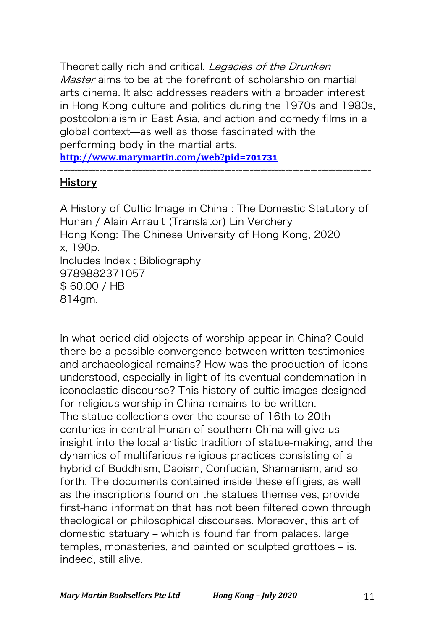Theoretically rich and critical, Legacies of the Drunken Master aims to be at the forefront of scholarship on martial arts cinema. It also addresses readers with a broader interest in Hong Kong culture and politics during the 1970s and 1980s, postcolonialism in East Asia, and action and comedy films in a global context̶as well as those fascinated with the performing body in the martial arts. **http://www.marymartin.com/web?pid=701731**

#### --------------------------------------------------------------------------------------- History

A History of Cultic Image in China : The Domestic Statutory of Hunan / Alain Arrault (Translator) Lin Verchery Hong Kong: The Chinese University of Hong Kong, 2020 x, 190p. Includes Index ; Bibliography 9789882371057 \$ 60.00 / HB 814gm.

In what period did objects of worship appear in China? Could there be a possible convergence between written testimonies and archaeological remains? How was the production of icons understood, especially in light of its eventual condemnation in iconoclastic discourse? This history of cultic images designed for religious worship in China remains to be written. The statue collections over the course of 16th to 20th centuries in central Hunan of southern China will give us insight into the local artistic tradition of statue-making, and the dynamics of multifarious religious practices consisting of a hybrid of Buddhism, Daoism, Confucian, Shamanism, and so forth. The documents contained inside these effigies, as well as the inscriptions found on the statues themselves, provide first-hand information that has not been filtered down through theological or philosophical discourses. Moreover, this art of domestic statuary – which is found far from palaces, large temples, monasteries, and painted or sculpted grottoes – is, indeed, still alive.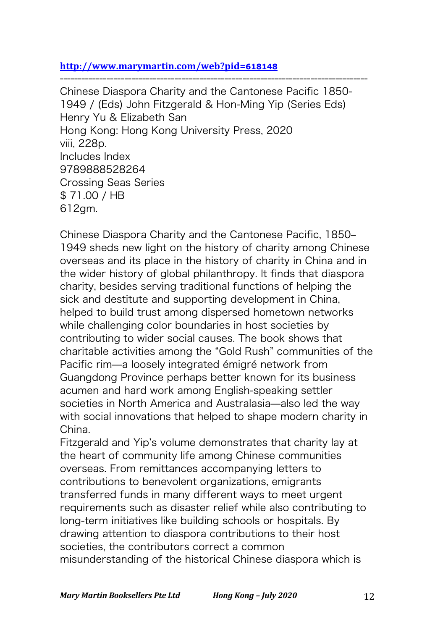#### **http://www.marymartin.com/web?pid=618148**

--------------------------------------------------------------------------------------

Chinese Diaspora Charity and the Cantonese Pacific 1850- 1949 / (Eds) John Fitzgerald & Hon-Ming Yip (Series Eds) Henry Yu & Elizabeth San Hong Kong: Hong Kong University Press, 2020 viii, 228p. Includes Index 9789888528264 Crossing Seas Series \$ 71.00 / HB 612gm.

Chinese Diaspora Charity and the Cantonese Pacific, 1850-1949 sheds new light on the history of charity among Chinese overseas and its place in the history of charity in China and in the wider history of global philanthropy. It finds that diaspora charity, besides serving traditional functions of helping the sick and destitute and supporting development in China, helped to build trust among dispersed hometown networks while challenging color boundaries in host societies by contributing to wider social causes. The book shows that charitable activities among the "Gold Rush" communities of the Pacific rim̶a loosely integrated émigré network from Guangdong Province perhaps better known for its business acumen and hard work among English-speaking settler societies in North America and Australasia-also led the way with social innovations that helped to shape modern charity in China.

Fitzgerald and Yip's volume demonstrates that charity lay at the heart of community life among Chinese communities overseas. From remittances accompanying letters to contributions to benevolent organizations, emigrants transferred funds in many different ways to meet urgent requirements such as disaster relief while also contributing to long-term initiatives like building schools or hospitals. By drawing attention to diaspora contributions to their host societies, the contributors correct a common misunderstanding of the historical Chinese diaspora which is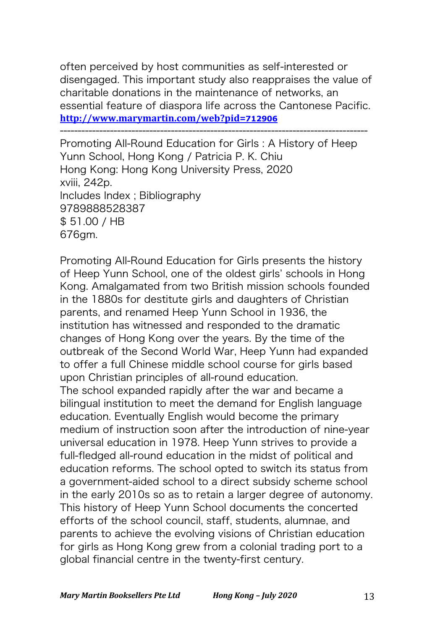often perceived by host communities as self-interested or disengaged. This important study also reappraises the value of charitable donations in the maintenance of networks, an essential feature of diaspora life across the Cantonese Pacific. **http://www.marymartin.com/web?pid=712906**

--------------------------------------------------------------------------------------

Promoting All-Round Education for Girls : A History of Heep Yunn School, Hong Kong / Patricia P. K. Chiu Hong Kong: Hong Kong University Press, 2020 xviii, 242p. Includes Index ; Bibliography 9789888528387 \$ 51.00 / HB 676gm.

Promoting All-Round Education for Girls presents the history of Heep Yunn School, one of the oldest girls' schools in Hong Kong. Amalgamated from two British mission schools founded in the 1880s for destitute girls and daughters of Christian parents, and renamed Heep Yunn School in 1936, the institution has witnessed and responded to the dramatic changes of Hong Kong over the years. By the time of the outbreak of the Second World War, Heep Yunn had expanded to offer a full Chinese middle school course for girls based upon Christian principles of all-round education. The school expanded rapidly after the war and became a bilingual institution to meet the demand for English language education. Eventually English would become the primary medium of instruction soon after the introduction of nine-year universal education in 1978. Heep Yunn strives to provide a full-fledged all-round education in the midst of political and education reforms. The school opted to switch its status from a government-aided school to a direct subsidy scheme school in the early 2010s so as to retain a larger degree of autonomy. This history of Heep Yunn School documents the concerted efforts of the school council, staff, students, alumnae, and parents to achieve the evolving visions of Christian education for girls as Hong Kong grew from a colonial trading port to a global financial centre in the twenty-first century.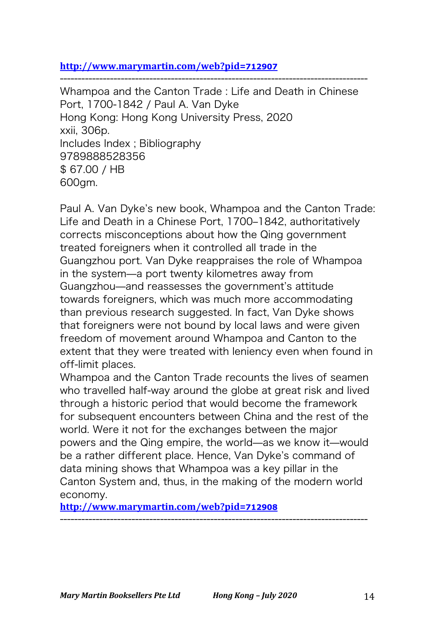#### **http://www.marymartin.com/web?pid=712907**

--------------------------------------------------------------------------------------

Whampoa and the Canton Trade : Life and Death in Chinese Port, 1700-1842 / Paul A. Van Dyke Hong Kong: Hong Kong University Press, 2020 xxii, 306p. Includes Index ; Bibliography 9789888528356 \$ 67.00 / HB 600gm.

Paul A. Van Dyke's new book, Whampoa and the Canton Trade: Life and Death in a Chinese Port, 1700-1842, authoritatively corrects misconceptions about how the Qing government treated foreigners when it controlled all trade in the Guangzhou port. Van Dyke reappraises the role of Whampoa in the system̶a port twenty kilometres away from Guangzhou̶and reassesses the government's attitude towards foreigners, which was much more accommodating than previous research suggested. In fact, Van Dyke shows that foreigners were not bound by local laws and were given freedom of movement around Whampoa and Canton to the extent that they were treated with leniency even when found in off-limit places.

Whampoa and the Canton Trade recounts the lives of seamen who travelled half-way around the globe at great risk and lived through a historic period that would become the framework for subsequent encounters between China and the rest of the world. Were it not for the exchanges between the major powers and the Qing empire, the world̶as we know it̶would be a rather different place. Hence, Van Dyke's command of data mining shows that Whampoa was a key pillar in the Canton System and, thus, in the making of the modern world economy.

--------------------------------------------------------------------------------------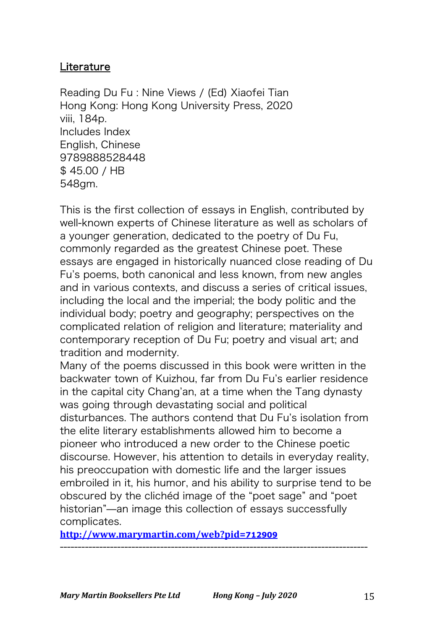## **Literature**

Reading Du Fu : Nine Views / (Ed) Xiaofei Tian Hong Kong: Hong Kong University Press, 2020 viii, 184p. Includes Index English, Chinese 9789888528448 \$ 45.00 / HB 548gm.

This is the first collection of essays in English, contributed by well-known experts of Chinese literature as well as scholars of a younger generation, dedicated to the poetry of Du Fu, commonly regarded as the greatest Chinese poet. These essays are engaged in historically nuanced close reading of Du Fu's poems, both canonical and less known, from new angles and in various contexts, and discuss a series of critical issues, including the local and the imperial; the body politic and the individual body; poetry and geography; perspectives on the complicated relation of religion and literature; materiality and contemporary reception of Du Fu; poetry and visual art; and tradition and modernity.

Many of the poems discussed in this book were written in the backwater town of Kuizhou, far from Du Fu's earlier residence in the capital city Chang'an, at a time when the Tang dynasty was going through devastating social and political disturbances. The authors contend that Du Fu's isolation from the elite literary establishments allowed him to become a pioneer who introduced a new order to the Chinese poetic discourse. However, his attention to details in everyday reality, his preoccupation with domestic life and the larger issues embroiled in it, his humor, and his ability to surprise tend to be obscured by the clichéd image of the "poet sage" and "poet historian"̶an image this collection of essays successfully complicates.

--------------------------------------------------------------------------------------